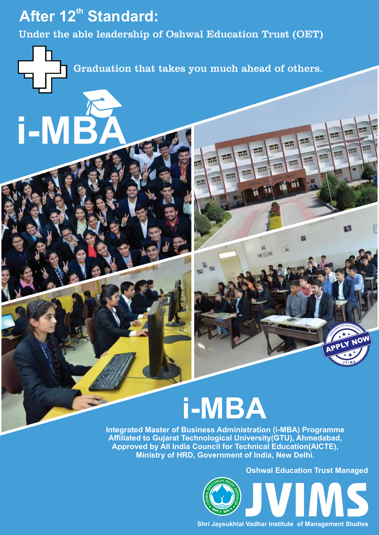#### **After 12<sup>th</sup> Standard:**

**i-MBA**

Under the able leadership of Oshwal Education Trust (OET)

**CARGE** 

Graduation that takes you much ahead of others.

# **i-MBA**

**Integrated Master of Business Administration (i-MBA) Programme Affiliated to Gujarat Technological University(GTU), Ahmedabad, Approved by All India Council for Technical Education(AICTE), Ministry of HRD, Government of India, New Delhi.**

**Oshwal Education Trust Managed**

**J V I M S**

**<sup>s</sup>te<sup>r</sup> <sup>o</sup><sup>f</sup> <sup>B</sup>usines<sup>s</sup> <sup>A</sup>dmi<sup>n</sup>is M<sup>a</sup>**

×.

×.

нg,

п.

**<sup>t</sup>ra<sup>t</sup> d io te n ar <sup>g</sup>et <sup>I</sup>n** APPLY NOW

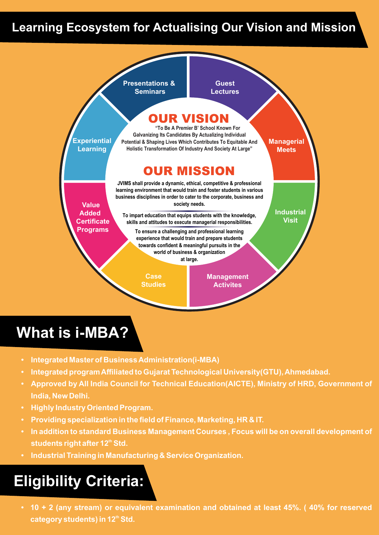#### **Learning Ecosystem for Actualising Our Vision and Mission**



### **What is i-MBA?**

- **Integrated Master of Business Administration(i-MBA)**
- **Integrated program Affiliated to Gujarat Technological University(GTU), Ahmedabad.**
- **Approved by All India Council for Technical Education(AICTE), Ministry of HRD, Government of India, New Delhi.**
- **Highly Industry Oriented Program.**
- **Providing specialization in the field of Finance, Marketing, HR & IT.**
- **In addition to standard Business Management Courses , Focus will be on overall development of th students right after 12 Std.**
- **Industrial Training in Manufacturing & Service Organization.**

## **Eligibility Criteria:**

• **10 + 2 (any stream) or equivalent examination and obtained at least 45%. ( 40% for reserved th category students) in 12 Std.**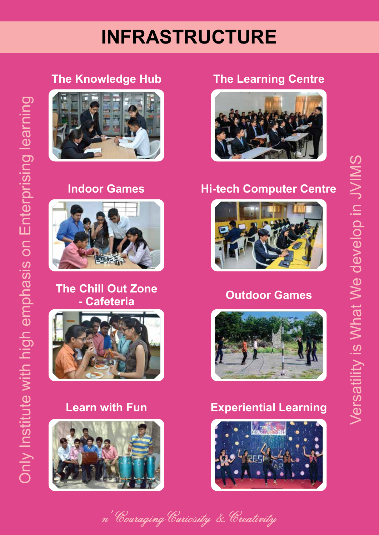# **INFRASTRUCTURE**

# Only Institute with high emphasis on Enterprising learning Only Institute with high emphasis on Enterprising learning

#### **The Knowledge Hub The Learning Centre**





# **The Chill Out Zone**







#### **Indoor Games Hi-tech Computer Centre**



#### **Outdoor Games**



#### **Learn with Fun Experiential Learning**



n' Couraging Curiosity & Creativity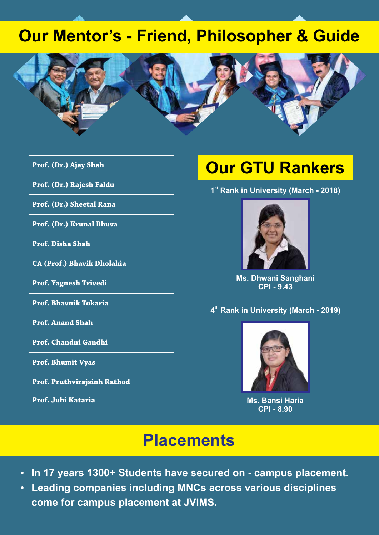#### **Our Mentor's - Friend, Philosopher & Guide**



- **Prof. (Dr.) Ajay Shah**
- **Prof. (Dr.) Rajesh Faldu**
- **Prof. (Dr.) Sheetal Rana**
- **Prof. (Dr.) Krunal Bhuva**
- **Prof. Disha Shah**
- **CA (Prof.) Bhavik Dholakia**
- **Prof. Yagnesh Trivedi**
- **Prof. Bhavnik Tokaria**
- **Prof. Anand Shah**
- **Prof. Chandni Gandhi**
- **Prof. Bhumit Vyas**
- **Prof. Pruthvirajsinh Rathod**
- **Prof. Juhi Kataria**

## **Our GTU Rankers**

**st 1 Rank in University (March - 2018)**



**Ms. Dhwani Sanghani CPI - 9.43**

**th 4 Rank in University (March - 2019)**



**Ms. Bansi Haria CPI - 8.90**

#### **Placements**

- **In 17 years 1300+ Students have secured on campus placement.**
- **Leading companies including MNCs across various disciplines come for campus placement at JVIMS.**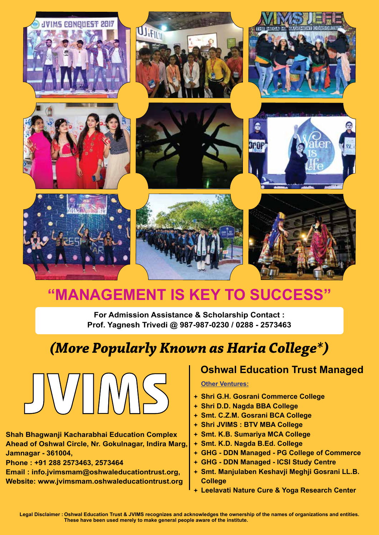

### **"MANAGEMENT IS KEY TO SUCCESS"**

**For Admission Assistance & Scholarship Contact : Prof. Yagnesh Trivedi @ 987-987-0230 / 0288 - 2573463**

### *(More Popularly Known as Haria College\*)*



**Shah Bhagwanji Kacharabhai Education Complex Ahead of Oshwal Circle, Nr. Gokulnagar, Indira Marg, Jamnagar - 361004,**

**Phone : +91 288 2573463, 2573464**

**Email : info.jvimsmam@oshwaleducationtrust.org, Website: www.jvimsmam.oshwaleducationtrust.org**

#### **Oshwal Education Trust Managed**

#### **Other Ventures:**

- **Shri G.H. Gosrani Commerce College**
- **Shri D.D. Nagda BBA College**
- **Smt. C.Z.M. Gosrani BCA College**
- **Shri JVIMS : BTV MBA College**
- **Smt. K.B. Sumariya MCA College**
- **Smt. K.D. Nagda B.Ed. College**
- **GHG DDN Managed PG College of Commerce**
- **GHG DDN Managed ICSI Study Centre**
- **Smt. Manjulaben Keshavji Meghji Gosrani LL.B. College**
- **Leelavati Nature Cure & Yoga Research Center**